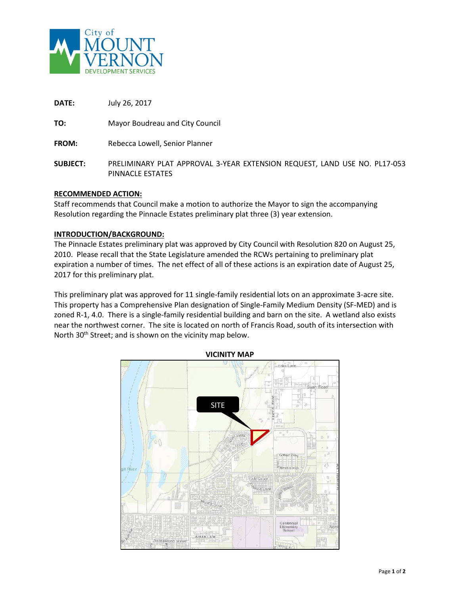

**DATE:** July 26, 2017 **TO:** Mayor Boudreau and City Council **FROM:** Rebecca Lowell, Senior Planner **SUBJECT:** PRELIMINARY PLAT APPROVAL 3-YEAR EXTENSION REQUEST, LAND USE NO. PL17-053 PINNACLE ESTATES

### **RECOMMENDED ACTION:**

Staff recommends that Council make a motion to authorize the Mayor to sign the accompanying Resolution regarding the Pinnacle Estates preliminary plat three (3) year extension.

#### **INTRODUCTION/BACKGROUND:**

The Pinnacle Estates preliminary plat was approved by City Council with Resolution 820 on August 25, 2010. Please recall that the State Legislature amended the RCWs pertaining to preliminary plat expiration a number of times. The net effect of all of these actions is an expiration date of August 25, 2017 for this preliminary plat.

This preliminary plat was approved for 11 single-family residential lots on an approximate 3-acre site. This property has a Comprehensive Plan designation of Single-Family Medium Density (SF-MED) and is zoned R-1, 4.0. There is a single-family residential building and barn on the site. A wetland also exists near the northwest corner. The site is located on north of Francis Road, south of its intersection with North 30<sup>th</sup> Street; and is shown on the vicinity map below.



**VICINITY MAP**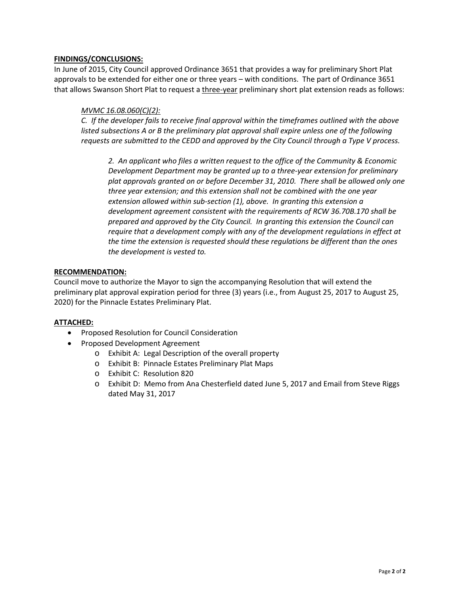### **FINDINGS/CONCLUSIONS:**

In June of 2015, City Council approved Ordinance 3651 that provides a way for preliminary Short Plat approvals to be extended for either one or three years – with conditions. The part of Ordinance 3651 that allows Swanson Short Plat to request a three-year preliminary short plat extension reads as follows:

### *MVMC 16.08.060(C)(2):*

*C. If the developer fails to receive final approval within the timeframes outlined with the above listed subsections A or B the preliminary plat approval shall expire unless one of the following requests are submitted to the CEDD and approved by the City Council through a Type V process.*

*2. An applicant who files a written request to the office of the Community & Economic Development Department may be granted up to a three-year extension for preliminary plat approvals granted on or before December 31, 2010. There shall be allowed only one three year extension; and this extension shall not be combined with the one year extension allowed within sub-section (1), above. In granting this extension a development agreement consistent with the requirements of RCW 36.70B.170 shall be prepared and approved by the City Council. In granting this extension the Council can require that a development comply with any of the development regulations in effect at the time the extension is requested should these regulations be different than the ones the development is vested to.* 

### **RECOMMENDATION:**

Council move to authorize the Mayor to sign the accompanying Resolution that will extend the preliminary plat approval expiration period for three (3) years (i.e., from August 25, 2017 to August 25, 2020) for the Pinnacle Estates Preliminary Plat.

### **ATTACHED:**

- Proposed Resolution for Council Consideration
- Proposed Development Agreement
	- o Exhibit A: Legal Description of the overall property
	- o Exhibit B: Pinnacle Estates Preliminary Plat Maps
	- o Exhibit C: Resolution 820
	- o Exhibit D: Memo from Ana Chesterfield dated June 5, 2017 and Email from Steve Riggs dated May 31, 2017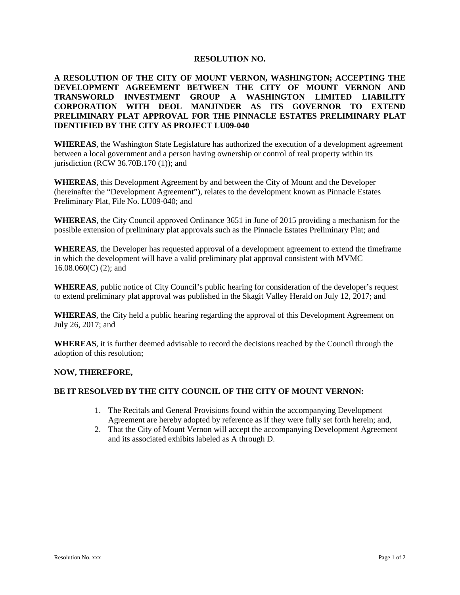#### **RESOLUTION NO.**

**A RESOLUTION OF THE CITY OF MOUNT VERNON, WASHINGTON; ACCEPTING THE DEVELOPMENT AGREEMENT BETWEEN THE CITY OF MOUNT VERNON AND TRANSWORLD INVESTMENT GROUP A WASHINGTON LIMITED LIABILITY CORPORATION WITH DEOL MANJINDER AS ITS GOVERNOR TO EXTEND PRELIMINARY PLAT APPROVAL FOR THE PINNACLE ESTATES PRELIMINARY PLAT IDENTIFIED BY THE CITY AS PROJECT LU09-040**

**WHEREAS**, the Washington State Legislature has authorized the execution of a development agreement between a local government and a person having ownership or control of real property within its jurisdiction (RCW 36.70B.170 (1)); and

**WHEREAS**, this Development Agreement by and between the City of Mount and the Developer (hereinafter the "Development Agreement"), relates to the development known as Pinnacle Estates Preliminary Plat, File No. LU09-040; and

**WHEREAS**, the City Council approved Ordinance 3651 in June of 2015 providing a mechanism for the possible extension of preliminary plat approvals such as the Pinnacle Estates Preliminary Plat; and

**WHEREAS**, the Developer has requested approval of a development agreement to extend the timeframe in which the development will have a valid preliminary plat approval consistent with MVMC 16.08.060(C) (2); and

**WHEREAS**, public notice of City Council's public hearing for consideration of the developer's request to extend preliminary plat approval was published in the Skagit Valley Herald on July 12, 2017; and

**WHEREAS**, the City held a public hearing regarding the approval of this Development Agreement on July 26, 2017; and

**WHEREAS**, it is further deemed advisable to record the decisions reached by the Council through the adoption of this resolution;

#### **NOW, THEREFORE,**

#### **BE IT RESOLVED BY THE CITY COUNCIL OF THE CITY OF MOUNT VERNON:**

- 1. The Recitals and General Provisions found within the accompanying Development Agreement are hereby adopted by reference as if they were fully set forth herein; and,
- 2. That the City of Mount Vernon will accept the accompanying Development Agreement and its associated exhibits labeled as A through D.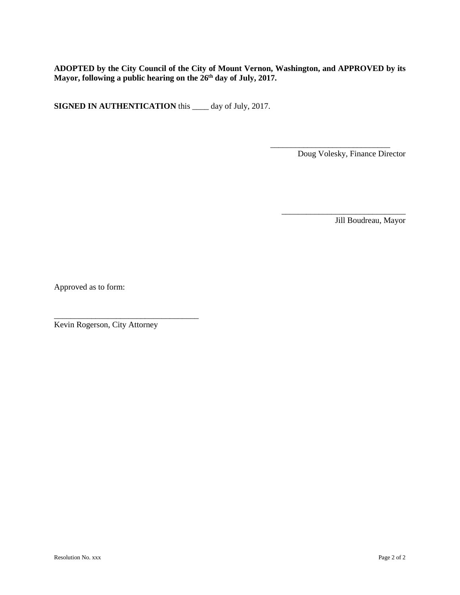**ADOPTED by the City Council of the City of Mount Vernon, Washington, and APPROVED by its Mayor, following a public hearing on the 26th day of July, 2017.**

**SIGNED IN AUTHENTICATION** this \_\_\_\_ day of July, 2017.

Doug Volesky, Finance Director

\_\_\_\_\_\_\_\_\_\_\_\_\_\_\_\_\_\_\_\_\_\_\_\_\_\_\_\_\_\_

\_\_\_\_\_\_\_\_\_\_\_\_\_\_\_\_\_\_\_\_\_\_\_\_\_\_\_\_\_

Jill Boudreau, Mayor

Approved as to form:

Kevin Rogerson, City Attorney

\_\_\_\_\_\_\_\_\_\_\_\_\_\_\_\_\_\_\_\_\_\_\_\_\_\_\_\_\_\_\_\_\_\_\_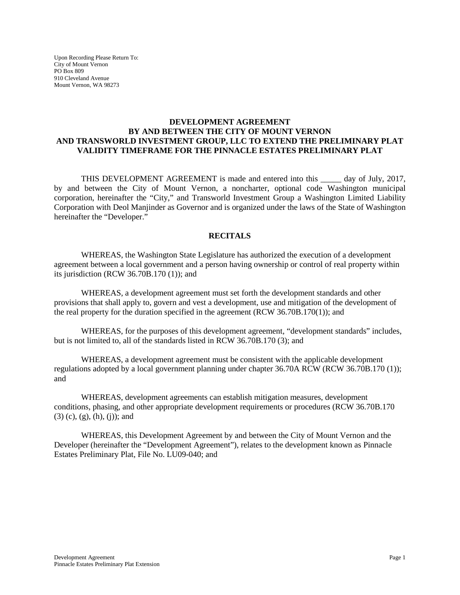Upon Recording Please Return To: City of Mount Vernon PO Box 809 910 Cleveland Avenue Mount Vernon, WA 98273

### **DEVELOPMENT AGREEMENT BY AND BETWEEN THE CITY OF MOUNT VERNON AND TRANSWORLD INVESTMENT GROUP, LLC TO EXTEND THE PRELIMINARY PLAT VALIDITY TIMEFRAME FOR THE PINNACLE ESTATES PRELIMINARY PLAT**

THIS DEVELOPMENT AGREEMENT is made and entered into this \_\_\_\_\_ day of July, 2017, by and between the City of Mount Vernon, a noncharter, optional code Washington municipal corporation, hereinafter the "City," and Transworld Investment Group a Washington Limited Liability Corporation with Deol Manjinder as Governor and is organized under the laws of the State of Washington hereinafter the "Developer."

### **RECITALS**

WHEREAS, the Washington State Legislature has authorized the execution of a development agreement between a local government and a person having ownership or control of real property within its jurisdiction (RCW 36.70B.170 (1)); and

WHEREAS, a development agreement must set forth the development standards and other provisions that shall apply to, govern and vest a development, use and mitigation of the development of the real property for the duration specified in the agreement (RCW 36.70B.170(1)); and

WHEREAS, for the purposes of this development agreement, "development standards" includes, but is not limited to, all of the standards listed in RCW 36.70B.170 (3); and

WHEREAS, a development agreement must be consistent with the applicable development regulations adopted by a local government planning under chapter 36.70A RCW (RCW 36.70B.170 (1)); and

WHEREAS, development agreements can establish mitigation measures, development conditions, phasing, and other appropriate development requirements or procedures (RCW 36.70B.170 (3) (c), (g), (h), (j)); and

WHEREAS, this Development Agreement by and between the City of Mount Vernon and the Developer (hereinafter the "Development Agreement"), relates to the development known as Pinnacle Estates Preliminary Plat, File No. LU09-040; and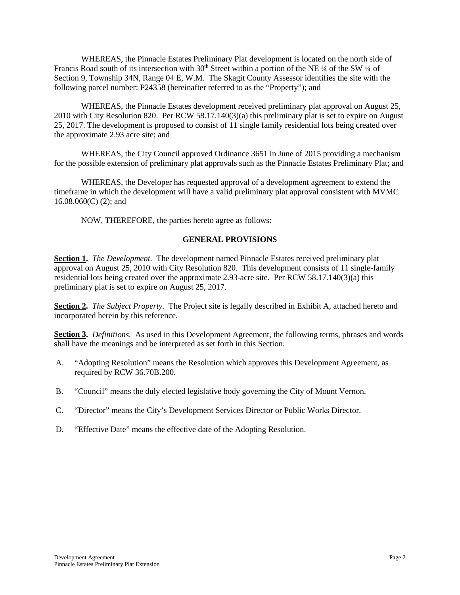WHEREAS, the Pinnacle Estates Preliminary Plat development is located on the north side of Francis Road south of its intersection with  $30<sup>th</sup>$  Street within a portion of the NE ¼ of the SW ¼ of Section 9, Township 34N, Range 04 E, W.M. The Skagit County Assessor identifies the site with the following parcel number: P24358 (hereinafter referred to as the "Property"); and

WHEREAS, the Pinnacle Estates development received preliminary plat approval on August 25, 2010 with City Resolution 820. Per RCW 58.17.140(3)(a) this preliminary plat is set to expire on August 25, 2017. The development is proposed to consist of 11 single family residential lots being created over the approximate 2.93 acre site; and

WHEREAS, the City Council approved Ordinance 3651 in June of 2015 providing a mechanism for the possible extension of preliminary plat approvals such as the Pinnacle Estates Preliminary Plat; and

WHEREAS, the Developer has requested approval of a development agreement to extend the timeframe in which the development will have a valid preliminary plat approval consistent with MVMC 16.08.060(C) (2); and

NOW, THEREFORE, the parties hereto agree as follows:

### **GENERAL PROVISIONS**

**Section 1.** *The Development.* The development named Pinnacle Estates received preliminary plat approval on August 25, 2010 with City Resolution 820. This development consists of 11 single-family residential lots being created over the approximate 2.93-acre site. Per RCW 58.17.140(3)(a) this preliminary plat is set to expire on August 25, 2017.

**Section 2.** *The Subject Property.* The Project site is legally described in Exhibit A, attached hereto and incorporated herein by this reference.

**Section 3.** *Definitions.* As used in this Development Agreement, the following terms, phrases and words shall have the meanings and be interpreted as set forth in this Section.

- A. "Adopting Resolution" means the Resolution which approves this Development Agreement, as required by RCW 36.70B.200.
- B. "Council" means the duly elected legislative body governing the City of Mount Vernon.
- C. "Director" means the City's Development Services Director or Public Works Director.
- D. "Effective Date" means the effective date of the Adopting Resolution.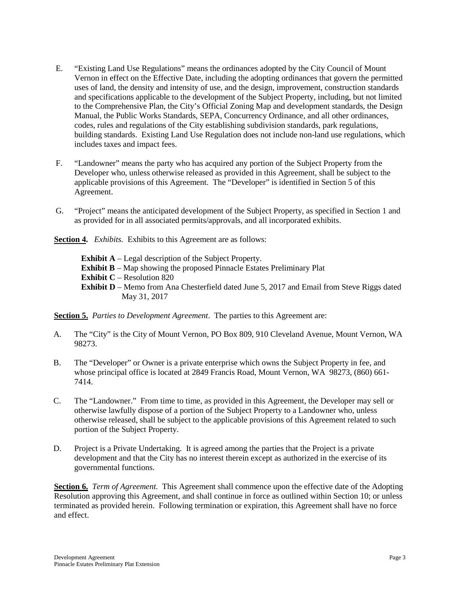- E. "Existing Land Use Regulations" means the ordinances adopted by the City Council of Mount Vernon in effect on the Effective Date, including the adopting ordinances that govern the permitted uses of land, the density and intensity of use, and the design, improvement, construction standards and specifications applicable to the development of the Subject Property, including, but not limited to the Comprehensive Plan, the City's Official Zoning Map and development standards, the Design Manual, the Public Works Standards, SEPA, Concurrency Ordinance, and all other ordinances, codes, rules and regulations of the City establishing subdivision standards, park regulations, building standards. Existing Land Use Regulation does not include non-land use regulations, which includes taxes and impact fees.
- F. "Landowner" means the party who has acquired any portion of the Subject Property from the Developer who, unless otherwise released as provided in this Agreement, shall be subject to the applicable provisions of this Agreement. The "Developer" is identified in Section 5 of this Agreement.
- G. "Project" means the anticipated development of the Subject Property, as specified in Section 1 and as provided for in all associated permits/approvals, and all incorporated exhibits.

**Section 4.** *Exhibits.* Exhibits to this Agreement are as follows:

**Exhibit A** – Legal description of the Subject Property. **Exhibit B** – Map showing the proposed Pinnacle Estates Preliminary Plat **Exhibit C** – Resolution 820 **Exhibit D** – Memo from Ana Chesterfield dated June 5, 2017 and Email from Steve Riggs dated May 31, 2017

**Section 5.** *Parties to Development Agreement*. The parties to this Agreement are:

- A. The "City" is the City of Mount Vernon, PO Box 809, 910 Cleveland Avenue, Mount Vernon, WA 98273.
- B. The "Developer" or Owner is a private enterprise which owns the Subject Property in fee, and whose principal office is located at 2849 Francis Road, Mount Vernon, WA 98273, (860) 661- 7414.
- C. The "Landowner." From time to time, as provided in this Agreement, the Developer may sell or otherwise lawfully dispose of a portion of the Subject Property to a Landowner who, unless otherwise released, shall be subject to the applicable provisions of this Agreement related to such portion of the Subject Property.
- D. Project is a Private Undertaking. It is agreed among the parties that the Project is a private development and that the City has no interest therein except as authorized in the exercise of its governmental functions.

**Section 6.** *Term of Agreement.* This Agreement shall commence upon the effective date of the Adopting Resolution approving this Agreement, and shall continue in force as outlined within Section 10; or unless terminated as provided herein. Following termination or expiration, this Agreement shall have no force and effect.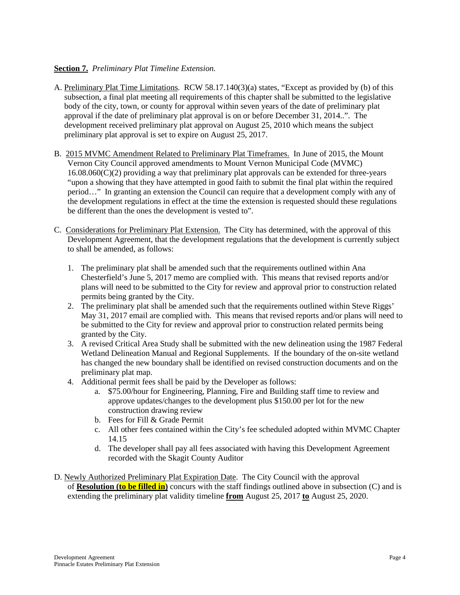### **Section 7.** *Preliminary Plat Timeline Extension.*

- A. Preliminary Plat Time Limitations. RCW 58.17.140(3)(a) states, "Except as provided by (b) of this subsection, a final plat meeting all requirements of this chapter shall be submitted to the legislative body of the city, town, or county for approval within seven years of the date of preliminary plat approval if the date of preliminary plat approval is on or before December 31, 2014..". The development received preliminary plat approval on August 25, 2010 which means the subject preliminary plat approval is set to expire on August 25, 2017.
- B. 2015 MVMC Amendment Related to Preliminary Plat Timeframes. In June of 2015, the Mount Vernon City Council approved amendments to Mount Vernon Municipal Code (MVMC) 16.08.060(C)(2) providing a way that preliminary plat approvals can be extended for three-years "upon a showing that they have attempted in good faith to submit the final plat within the required period…" In granting an extension the Council can require that a development comply with any of the development regulations in effect at the time the extension is requested should these regulations be different than the ones the development is vested to".
- C. Considerations for Preliminary Plat Extension. The City has determined, with the approval of this Development Agreement, that the development regulations that the development is currently subject to shall be amended, as follows:
	- 1. The preliminary plat shall be amended such that the requirements outlined within Ana Chesterfield's June 5, 2017 memo are complied with. This means that revised reports and/or plans will need to be submitted to the City for review and approval prior to construction related permits being granted by the City.
	- 2. The preliminary plat shall be amended such that the requirements outlined within Steve Riggs' May 31, 2017 email are complied with. This means that revised reports and/or plans will need to be submitted to the City for review and approval prior to construction related permits being granted by the City.
	- 3. A revised Critical Area Study shall be submitted with the new delineation using the 1987 Federal Wetland Delineation Manual and Regional Supplements. If the boundary of the on-site wetland has changed the new boundary shall be identified on revised construction documents and on the preliminary plat map.
	- 4. Additional permit fees shall be paid by the Developer as follows:
		- a. \$75.00/hour for Engineering, Planning, Fire and Building staff time to review and approve updates/changes to the development plus \$150.00 per lot for the new construction drawing review
		- b. Fees for Fill & Grade Permit
		- c. All other fees contained within the City's fee scheduled adopted within MVMC Chapter 14.15
		- d. The developer shall pay all fees associated with having this Development Agreement recorded with the Skagit County Auditor
- D. Newly Authorized Preliminary Plat Expiration Date. The City Council with the approval of **Resolution (to be filled in)** concurs with the staff findings outlined above in subsection (C) and is extending the preliminary plat validity timeline **from** August 25, 2017 **to** August 25, 2020.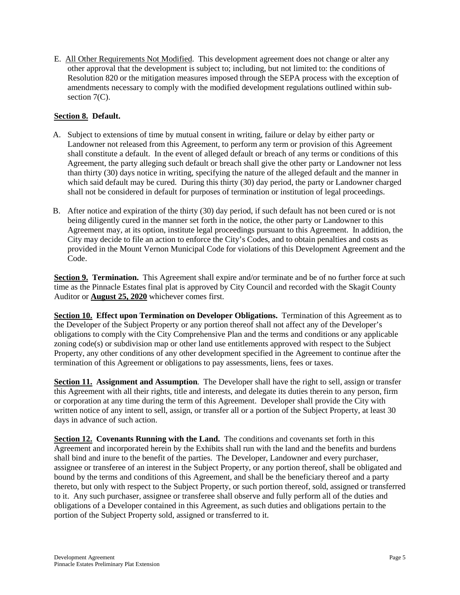E. All Other Requirements Not Modified. This development agreement does not change or alter any other approval that the development is subject to; including, but not limited to: the conditions of Resolution 820 or the mitigation measures imposed through the SEPA process with the exception of amendments necessary to comply with the modified development regulations outlined within subsection  $7(C)$ .

### **Section 8. Default.**

- A. Subject to extensions of time by mutual consent in writing, failure or delay by either party or Landowner not released from this Agreement, to perform any term or provision of this Agreement shall constitute a default. In the event of alleged default or breach of any terms or conditions of this Agreement, the party alleging such default or breach shall give the other party or Landowner not less than thirty (30) days notice in writing, specifying the nature of the alleged default and the manner in which said default may be cured. During this thirty (30) day period, the party or Landowner charged shall not be considered in default for purposes of termination or institution of legal proceedings.
- B. After notice and expiration of the thirty (30) day period, if such default has not been cured or is not being diligently cured in the manner set forth in the notice, the other party or Landowner to this Agreement may, at its option, institute legal proceedings pursuant to this Agreement. In addition, the City may decide to file an action to enforce the City's Codes, and to obtain penalties and costs as provided in the Mount Vernon Municipal Code for violations of this Development Agreement and the Code.

**Section 9. Termination.** This Agreement shall expire and/or terminate and be of no further force at such time as the Pinnacle Estates final plat is approved by City Council and recorded with the Skagit County Auditor or **August 25, 2020** whichever comes first.

**Section 10. Effect upon Termination on Developer Obligations.** Termination of this Agreement as to the Developer of the Subject Property or any portion thereof shall not affect any of the Developer's obligations to comply with the City Comprehensive Plan and the terms and conditions or any applicable zoning code(s) or subdivision map or other land use entitlements approved with respect to the Subject Property, any other conditions of any other development specified in the Agreement to continue after the termination of this Agreement or obligations to pay assessments, liens, fees or taxes.

**Section 11. Assignment and Assumption***.* The Developer shall have the right to sell, assign or transfer this Agreement with all their rights, title and interests, and delegate its duties therein to any person, firm or corporation at any time during the term of this Agreement. Developer shall provide the City with written notice of any intent to sell, assign, or transfer all or a portion of the Subject Property, at least 30 days in advance of such action.

**Section 12. Covenants Running with the Land.** The conditions and covenants set forth in this Agreement and incorporated herein by the Exhibits shall run with the land and the benefits and burdens shall bind and inure to the benefit of the parties. The Developer, Landowner and every purchaser, assignee or transferee of an interest in the Subject Property, or any portion thereof, shall be obligated and bound by the terms and conditions of this Agreement, and shall be the beneficiary thereof and a party thereto, but only with respect to the Subject Property, or such portion thereof, sold, assigned or transferred to it. Any such purchaser, assignee or transferee shall observe and fully perform all of the duties and obligations of a Developer contained in this Agreement, as such duties and obligations pertain to the portion of the Subject Property sold, assigned or transferred to it.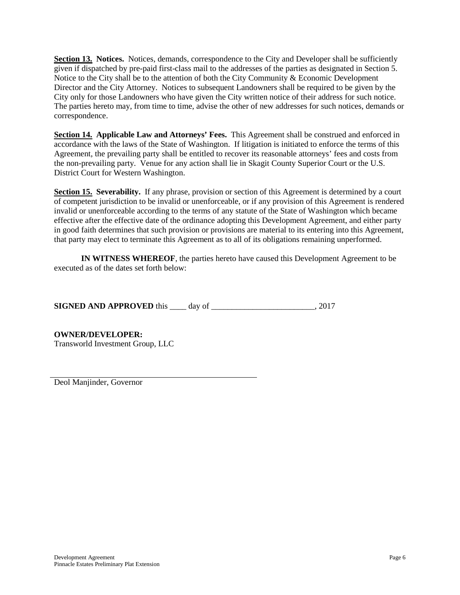**Section 13. Notices.** Notices, demands, correspondence to the City and Developer shall be sufficiently given if dispatched by pre-paid first-class mail to the addresses of the parties as designated in Section 5. Notice to the City shall be to the attention of both the City Community  $\&$  Economic Development Director and the City Attorney. Notices to subsequent Landowners shall be required to be given by the City only for those Landowners who have given the City written notice of their address for such notice. The parties hereto may, from time to time, advise the other of new addresses for such notices, demands or correspondence.

**Section 14. Applicable Law and Attorneys' Fees.** This Agreement shall be construed and enforced in accordance with the laws of the State of Washington. If litigation is initiated to enforce the terms of this Agreement, the prevailing party shall be entitled to recover its reasonable attorneys' fees and costs from the non-prevailing party. Venue for any action shall lie in Skagit County Superior Court or the U.S. District Court for Western Washington.

**Section 15. Severability.** If any phrase, provision or section of this Agreement is determined by a court of competent jurisdiction to be invalid or unenforceable, or if any provision of this Agreement is rendered invalid or unenforceable according to the terms of any statute of the State of Washington which became effective after the effective date of the ordinance adopting this Development Agreement, and either party in good faith determines that such provision or provisions are material to its entering into this Agreement, that party may elect to terminate this Agreement as to all of its obligations remaining unperformed.

**IN WITNESS WHEREOF**, the parties hereto have caused this Development Agreement to be executed as of the dates set forth below:

**SIGNED AND APPROVED** this \_\_\_\_ day of \_\_\_\_\_\_\_\_\_\_\_\_\_\_\_\_\_\_\_\_\_\_\_\_\_, 2017

**OWNER/DEVELOPER:** Transworld Investment Group, LLC

Deol Manjinder, Governor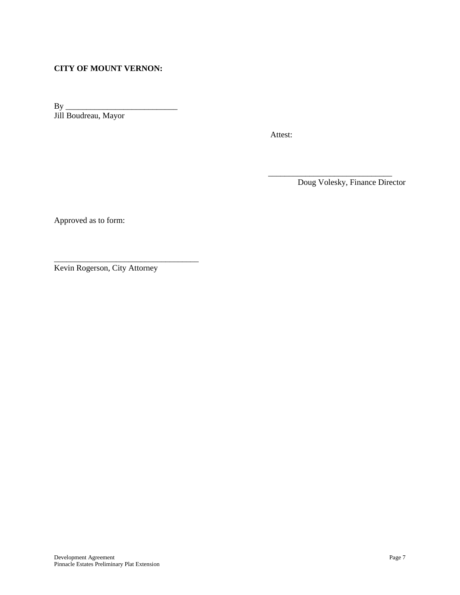### **CITY OF MOUNT VERNON:**

By \_\_\_\_\_\_\_\_\_\_\_\_\_\_\_\_\_\_\_\_\_\_\_\_\_\_\_ Jill Boudreau, Mayor

Attest:

 $\frac{1}{\sqrt{2}}$  ,  $\frac{1}{\sqrt{2}}$  ,  $\frac{1}{\sqrt{2}}$  ,  $\frac{1}{\sqrt{2}}$  ,  $\frac{1}{\sqrt{2}}$  ,  $\frac{1}{\sqrt{2}}$  ,  $\frac{1}{\sqrt{2}}$  ,  $\frac{1}{\sqrt{2}}$  ,  $\frac{1}{\sqrt{2}}$  ,  $\frac{1}{\sqrt{2}}$  ,  $\frac{1}{\sqrt{2}}$  ,  $\frac{1}{\sqrt{2}}$  ,  $\frac{1}{\sqrt{2}}$  ,  $\frac{1}{\sqrt{2}}$  ,  $\frac{1}{\sqrt{2}}$ Doug Volesky, Finance Director

Approved as to form:

Kevin Rogerson, City Attorney

\_\_\_\_\_\_\_\_\_\_\_\_\_\_\_\_\_\_\_\_\_\_\_\_\_\_\_\_\_\_\_\_\_\_\_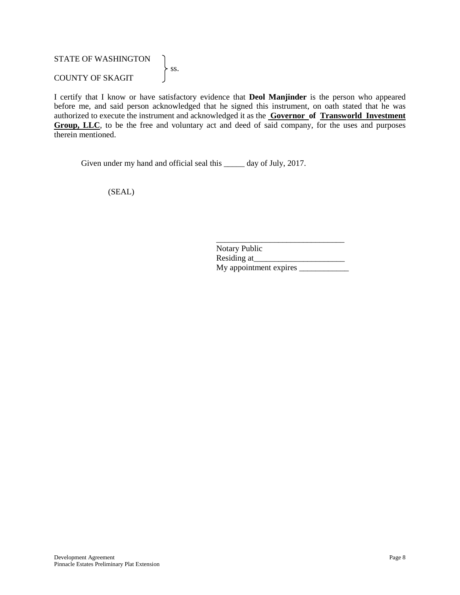### STATE OF WASHINGTON  $\left\{\n \text{ss.}\n\right.$ COUNTY OF SKAGIT

I certify that I know or have satisfactory evidence that **Deol Manjinder** is the person who appeared before me, and said person acknowledged that he signed this instrument, on oath stated that he was authorized to execute the instrument and acknowledged it as the **Governor of Transworld Investment Group, LLC**, to be the free and voluntary act and deed of said company, for the uses and purposes therein mentioned.

Given under my hand and official seal this \_\_\_\_\_ day of July, 2017.

(SEAL)

\_\_\_\_\_\_\_\_\_\_\_\_\_\_\_\_\_\_\_\_\_\_\_\_\_\_\_\_\_\_\_ Notary Public Residing at\_ My appointment expires \_\_\_\_\_\_\_\_\_\_\_\_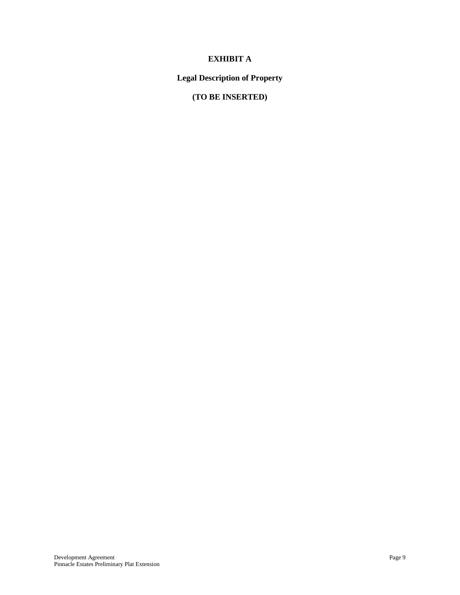## **EXHIBIT A**

## **Legal Description of Property**

# **(TO BE INSERTED)**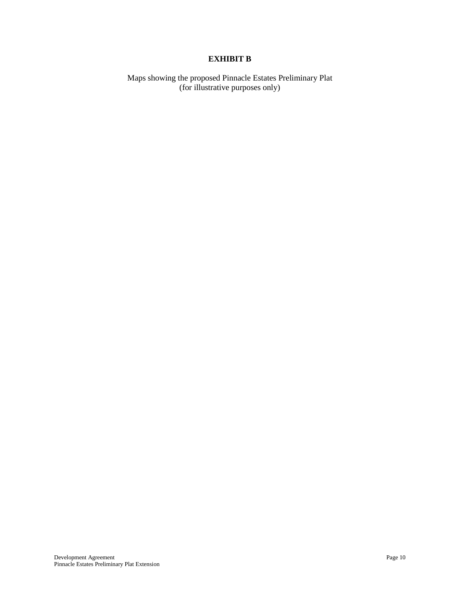## **EXHIBIT B**

Maps showing the proposed Pinnacle Estates Preliminary Plat (for illustrative purposes only)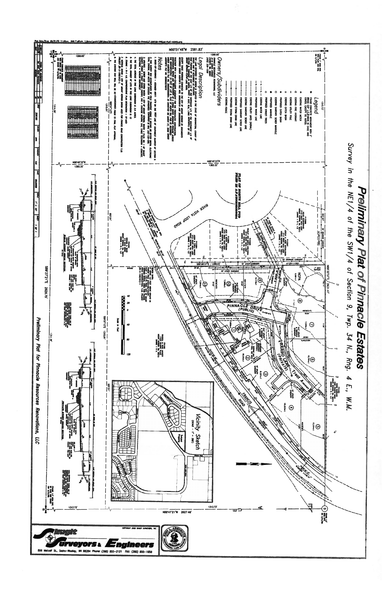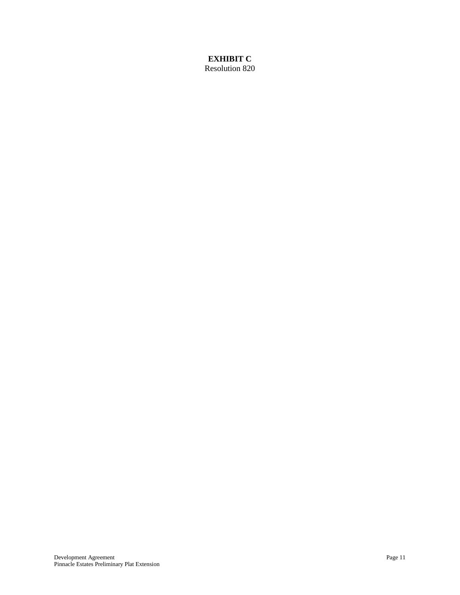### **EXHIBIT C** Resolution 820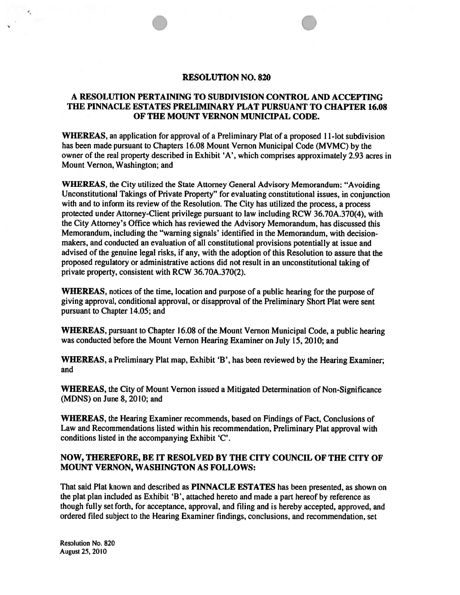### A RESOLUTION PERTAINING TO SUBDIVISION CONTROL AND ACCEPTING THE PINNACLE ESTATES PRELIMINARY PLAT PURSUANT TO CHAPTER 16.08 OF THE MOUNT VERNON MUNICIPAL CODE.

WHEREAS, an application for approval of a Preliminary Plat of a proposed 11-lot subdivision has been made pursuant to Chapters 16.08 Mount Vernon Municipal Code (MVMC) by the owner of the real property described in Exhibit 'A', which comprises approximately 2.93 acres in Mount Vernon, Washington; and

**WHEREAS, the City utilized the State Attorney General Advisory Memorandum: "Avoiding** Unconstitutional Takings of Private Property" for evaluating constitutional issues, in conjunction with and to inform its review of the Resolution. The City has utilized the process, a process protected under Attorney-Client privilege pursuant to law including RCW 36.70A.370(4), with the City Attorney's Office which has reviewed the Advisory Memorandum, has discussed this Memorandum, including the "warning signals' identified in the Memorandum, with decisionmakers, and conducted an evaluation of all constitutional provisions potentially at issue and advised of the genuine legal risks, if any, with the adoption of this Resolution to assure that the proposed regulatory or administrative actions did not result in an unconstitutional taking of private property, consistent with RCW 36.70A.370(2).

**WHEREAS**, notices of the time, location and purpose of a public hearing for the purpose of giving approval, conditional approval, or disapproval of the Preliminary Short Plat were sent pursuant to Chapter 14.05; and

**WHEREAS, pursuant to Chapter 16.08 of the Mount Vernon Municipal Code, a public hearing** was conducted before the Mount Vernon Hearing Examiner on July 15, 2010; and

**WHEREAS, a Preliminary Plat map, Exhibit 'B', has been reviewed by the Hearing Examiner;** and

**WHEREAS, the City of Mount Vernon issued a Mitigated Determination of Non-Significance**  $(MDNS)$  on June 8, 2010; and

**WHEREAS**, the Hearing Examiner recommends, based on Findings of Fact, Conclusions of Law and Recommendations listed within his recommendation, Preliminary Plat approval with conditions listed in the accompanying Exhibit 'C'.

### NOW, THEREFORE, BE IT RESOLVED BY THE CITY COUNCIL OF THE CITY OF MOUNT VERNON, WASHINGTON AS FOLLOWS:

That said Plat known and described as PINNACLE ESTATES has been presented, as shown on the plat plan included as Exhibit 'B', attached hereto and made a part hereof by reference as though fully set forth, for acceptance, approval, and filing and is hereby accepted, approved, and ordered filed subject to the Hearing Examiner findings, conclusions, and recommendation, set

**Resolution No. 820** August 25, 2010

 $\theta_{\rm a}$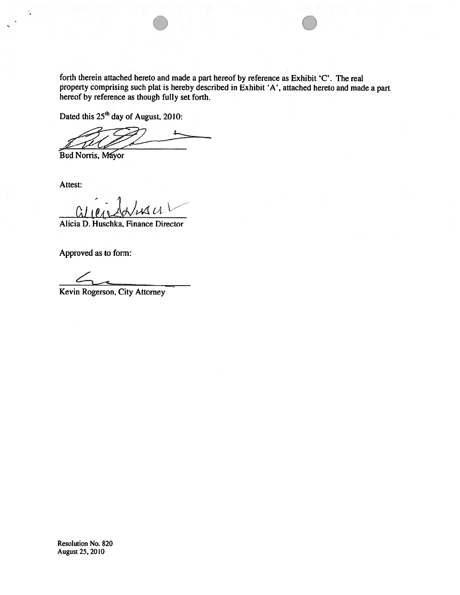forth therein attached hereto and made a part hereof by reference as Exhibit 'C'. The real property comprising such plat is hereby described in Exhibit 'A', attached hereto and made a part hereof by reference as though fully set forth.

Dated this 25<sup>th</sup> day of August, 2010:

Bud Norris, Mayor

Attest:

C.

 $1\nu$ 

Alicia D. Huschka, Finance Director

Approved as to form:

Kevin Rogerson, City Attorney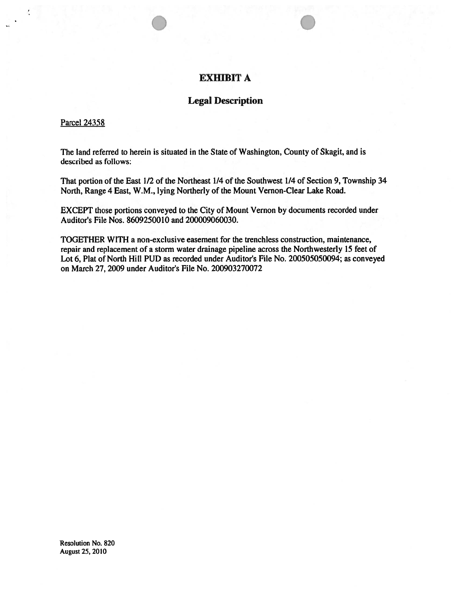## **EXHIBIT A**

## **Legal Description**

#### **Parcel 24358**

The land referred to herein is situated in the State of Washington, County of Skagit, and is described as follows:

That portion of the East 1/2 of the Northeast 1/4 of the Southwest 1/4 of Section 9, Township 34 North, Range 4 East, W.M., lying Northerly of the Mount Vernon-Clear Lake Road.

EXCEPT those portions conveyed to the City of Mount Vernon by documents recorded under Auditor's File Nos. 8609250010 and 200009060030.

TOGETHER WITH a non-exclusive easement for the trenchless construction, maintenance, repair and replacement of a storm water drainage pipeline across the Northwesterly 15 feet of Lot 6, Plat of North Hill PUD as recorded under Auditor's File No. 200505050094; as conveyed on March 27, 2009 under Auditor's File No. 200903270072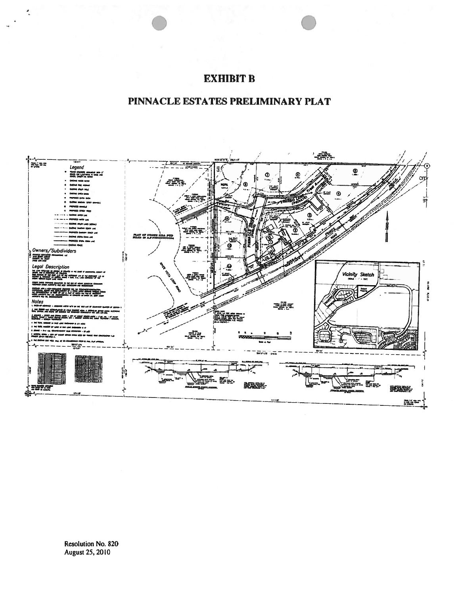# **EXHIBIT B**

# PINNACLE ESTATES PRELIMINARY PLAT



 $\bullet$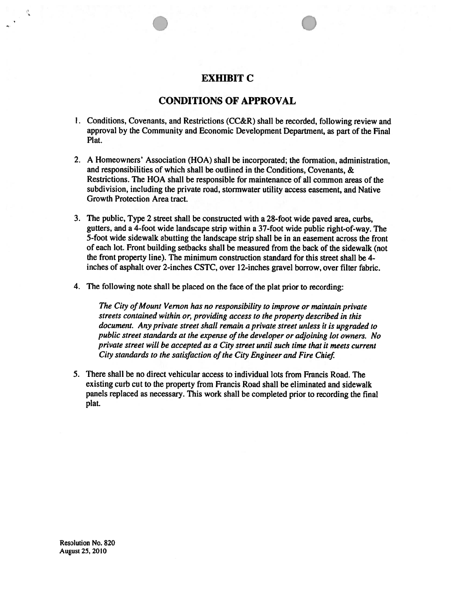## **EXHIBIT C**

## **CONDITIONS OF APPROVAL**

- 1. Conditions, Covenants, and Restrictions (CC&R) shall be recorded, following review and approval by the Community and Economic Development Department, as part of the Final Plat.
- 2. A Homeowners' Association (HOA) shall be incorporated; the formation, administration, and responsibilities of which shall be outlined in the Conditions, Covenants, & Restrictions. The HOA shall be responsible for maintenance of all common areas of the subdivision, including the private road, stormwater utility access easement, and Native Growth Protection Area tract.
- 3. The public, Type 2 street shall be constructed with a 28-foot wide paved area, curbs, gutters, and a 4-foot wide landscape strip within a 37-foot wide public right-of-way. The 5-foot wide sidewalk abutting the landscape strip shall be in an easement across the front of each lot. Front building setbacks shall be measured from the back of the sidewalk (not the front property line). The minimum construction standard for this street shall be 4inches of asphalt over 2-inches CSTC, over 12-inches gravel borrow, over filter fabric.
- 4. The following note shall be placed on the face of the plat prior to recording:

The City of Mount Vernon has no responsibility to improve or maintain private streets contained within or, providing access to the property described in this document. Any private street shall remain a private street unless it is upgraded to public street standards at the expense of the developer or adjoining lot owners. No private street will be accepted as a City street until such time that it meets current City standards to the satisfaction of the City Engineer and Fire Chief.

5. There shall be no direct vehicular access to individual lots from Francis Road. The existing curb cut to the property from Francis Road shall be eliminated and sidewalk panels replaced as necessary. This work shall be completed prior to recording the final plat.

Resolution No. 820 **August 25, 2010**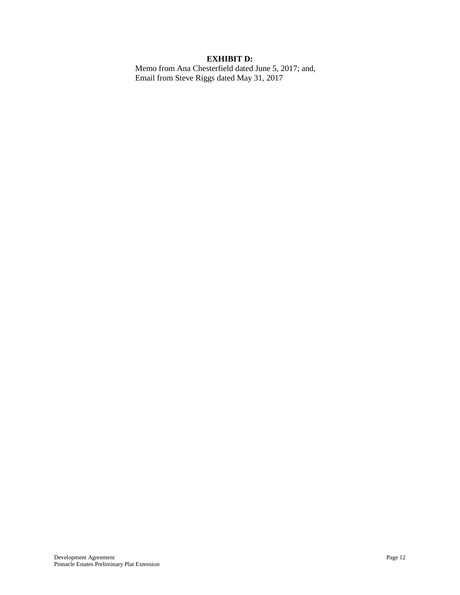### **EXHIBIT D:**

Memo from Ana Chesterfield dated June 5, 2017; and, Email from Steve Riggs dated May 31, 2017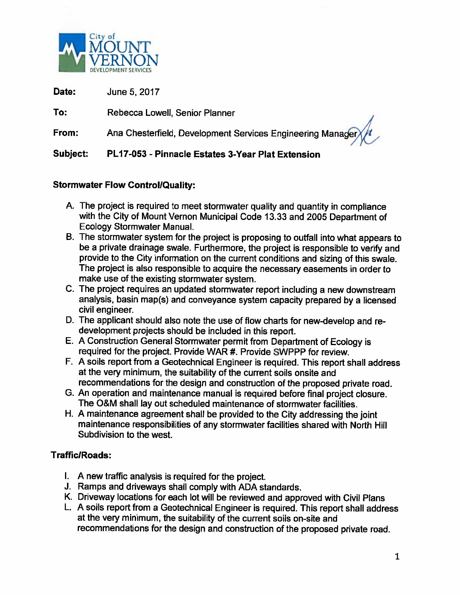

Date: June 5, 2017

To: Rebecca Lowell, Senior Planner

Ana Chesterfield, Development Services Engineering Manag From:

Subject: PL17-053 - Pinnacle Estates 3-Year Plat Extension

# **Stormwater Flow Control/Quality:**

- A. The project is required to meet stormwater quality and quantity in compliance with the City of Mount Vernon Municipal Code 13.33 and 2005 Department of **Ecology Stormwater Manual.**
- B. The stormwater system for the project is proposing to outfall into what appears to be a private drainage swale. Furthermore, the project is responsible to verify and provide to the City information on the current conditions and sizing of this swale. The project is also responsible to acquire the necessary easements in order to make use of the existing stormwater system.
- C. The project requires an updated stormwater report including a new downstream analysis, basin map(s) and conveyance system capacity prepared by a licensed civil engineer.
- D. The applicant should also note the use of flow charts for new-develop and redevelopment projects should be included in this report.
- E. A Construction General Stormwater permit from Department of Ecology is required for the project. Provide WAR #. Provide SWPPP for review.
- F. A soils report from a Geotechnical Engineer is required. This report shall address at the very minimum, the suitability of the current soils onsite and recommendations for the design and construction of the proposed private road.
- G. An operation and maintenance manual is required before final project closure. The O&M shall lay out scheduled maintenance of stormwater facilities.
- H. A maintenance agreement shall be provided to the City addressing the joint maintenance responsibilities of any stormwater facilities shared with North Hill Subdivision to the west.

# Traffic/Roads:

- I. A new traffic analysis is required for the project.
- J. Ramps and driveways shall comply with ADA standards.
- K. Driveway locations for each lot will be reviewed and approved with Civil Plans
- L. A soils report from a Geotechnical Engineer is required. This report shall address at the very minimum, the suitability of the current soils on-site and recommendations for the design and construction of the proposed private road.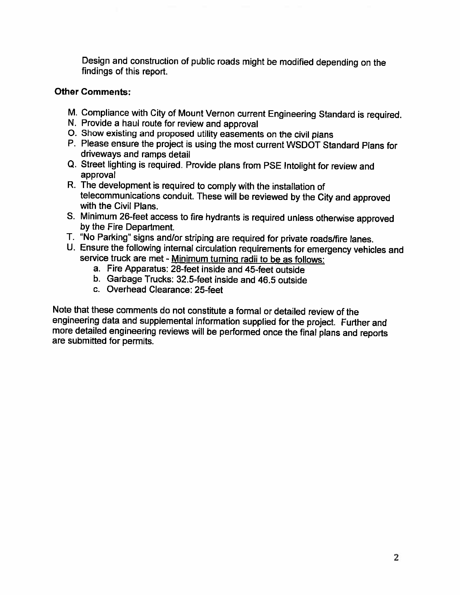Design and construction of public roads might be modified depending on the findings of this report.

## **Other Comments:**

- M. Compliance with City of Mount Vernon current Engineering Standard is required.
- N. Provide a haul route for review and approval
- O. Show existing and proposed utility easements on the civil plans
- P. Please ensure the project is using the most current WSDOT Standard Plans for driveways and ramps detail
- Q. Street lighting is required. Provide plans from PSE Intolight for review and approval
- R. The development is required to comply with the installation of telecommunications conduit. These will be reviewed by the City and approved with the Civil Plans.
- S. Minimum 26-feet access to fire hydrants is required unless otherwise approved by the Fire Department.
- T. "No Parking" signs and/or striping are required for private roads/fire lanes.
- U. Ensure the following internal circulation requirements for emergency vehicles and service truck are met - Minimum turning radii to be as follows:
	- a. Fire Apparatus: 28-feet inside and 45-feet outside
	- b. Garbage Trucks: 32.5-feet inside and 46.5 outside
	- c. Overhead Clearance: 25-feet

Note that these comments do not constitute a formal or detailed review of the engineering data and supplemental information supplied for the project. Further and more detailed engineering reviews will be performed once the final plans and reports are submitted for permits.